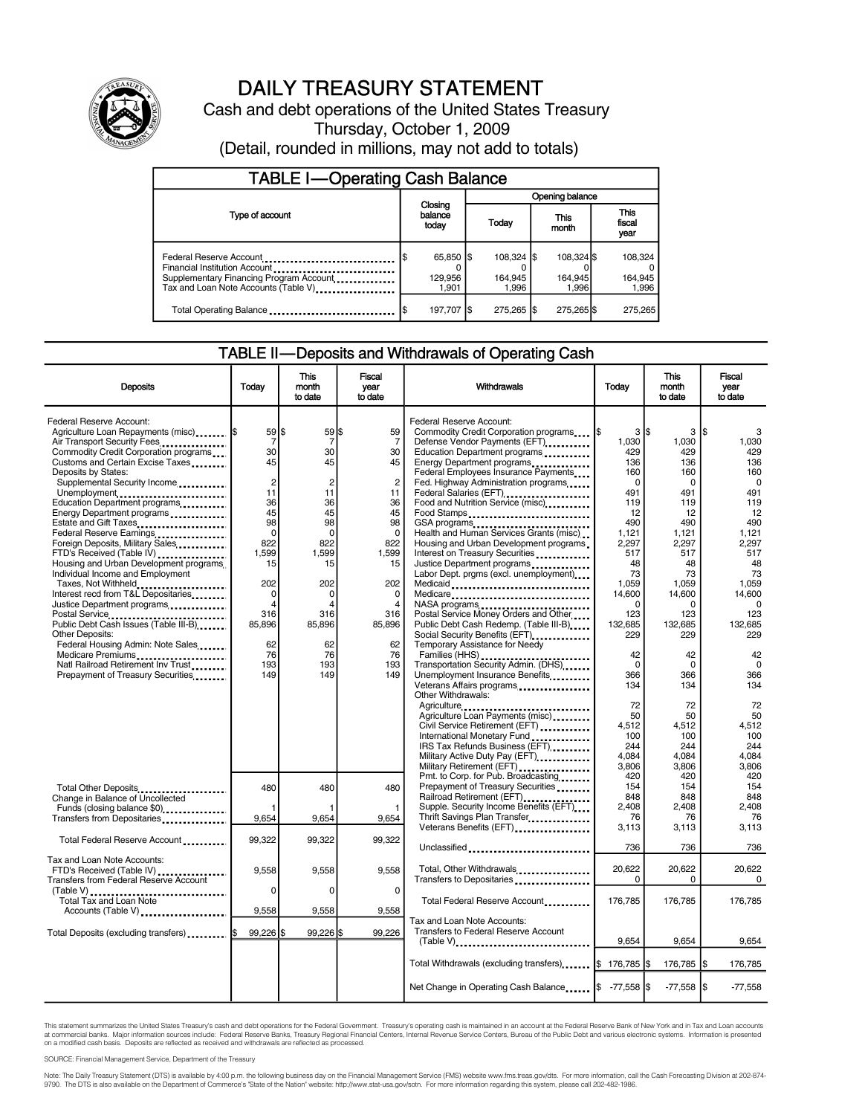

# DAILY TREASURY STATEMENT

Cash and debt operations of the United States Treasury Thursday, October 1, 2009 (Detail, rounded in millions, may not add to totals)

| <b>TABLE I-Operating Cash Balance</b>                                                                                                       |                               |  |                               |                                |                               |  |  |  |
|---------------------------------------------------------------------------------------------------------------------------------------------|-------------------------------|--|-------------------------------|--------------------------------|-------------------------------|--|--|--|
|                                                                                                                                             |                               |  | Opening balance               |                                |                               |  |  |  |
| Type of account                                                                                                                             | Closing<br>balance<br>today   |  | Today                         | This<br>month                  | <b>This</b><br>fiscal<br>year |  |  |  |
| Federal Reserve Account<br>Financial Institution Account<br>Supplementary Financing Program Account<br>Tax and Loan Note Accounts (Table V) | 65,850 \$<br>129,956<br>1.901 |  | 108.324 S<br>164.945<br>1.996 | 108,324 \$<br>164,945<br>1.996 | 108.324<br>164,945<br>1,996   |  |  |  |
| Total Operating Balance                                                                                                                     | 197,707 \$                    |  | 275.265   \$                  | 275.265                        | 275.265                       |  |  |  |

## TABLE II—Deposits and Withdrawals of Operating Cash

| <b>Deposits</b>                                                 | Todav            | This<br>month<br>to date | Fiscal<br>vear<br>to date | <b>Withdrawals</b>                                                                | <b>Today</b>           | This<br>month<br>to date | Fiscal<br>vear<br>to date |  |
|-----------------------------------------------------------------|------------------|--------------------------|---------------------------|-----------------------------------------------------------------------------------|------------------------|--------------------------|---------------------------|--|
|                                                                 |                  |                          |                           |                                                                                   |                        |                          |                           |  |
| Federal Reserve Account:                                        |                  |                          |                           | Federal Reserve Account:                                                          |                        |                          |                           |  |
| Agriculture Loan Repayments (misc)  \$                          | $59$ \$          | $59$ \$                  | 59                        | Commodity Credit Corporation programs                                             | 3 <sub>15</sub><br>l\$ | 3                        | l\$                       |  |
| Air Transport Security Fees                                     | 7                | $\overline{7}$           | 7                         | Defense Vendor Payments (EFT)                                                     | 1,030                  | 1,030                    | 1,030                     |  |
| Commodity Credit Corporation programs                           | 30               | 30                       | 30                        | Education Department programs                                                     | 429                    | 429                      | 429                       |  |
| Customs and Certain Excise Taxes                                | 45               | 45                       | 45                        | Energy Department programs                                                        | 136                    | 136                      | 136                       |  |
| Deposits by States:                                             |                  |                          |                           | Federal Employees Insurance Payments                                              | 160                    | 160                      | 160                       |  |
| Supplemental Security Income                                    | $\boldsymbol{2}$ | $\overline{2}$           | $\overline{2}$            | Fed. Highway Administration programs                                              | 0                      | $\mathbf 0$              | 0                         |  |
| Unemployment                                                    | 11               | 11                       | 11                        |                                                                                   | 491                    | 491                      | 491                       |  |
| Education Department programs                                   | 36               | 36                       | 36                        | Food and Nutrition Service (misc)                                                 | 119                    | 119                      | 119                       |  |
| Energy Department programs                                      | 45               | 45                       | 45                        | Food Stamps                                                                       | 12                     | 12                       | 12                        |  |
| Estate and Gift Taxes                                           | 98<br>$\Omega$   | 98<br>$\Omega$           | 98<br>$\Omega$            | GSA programs                                                                      | 490<br>1.121           | 490                      | 490                       |  |
| Federal Reserve Earnings<br>Foreign Deposits, Military Sales    | 822              | 822                      | 822                       | Health and Human Services Grants (misc)<br>Housing and Urban Development programs | 2.297                  | 1,121<br>2.297           | 1,121<br>2.297            |  |
| FTD's Received (Table IV)                                       | 1,599            | 1,599                    | 1,599                     | Interest on Treasury Securities                                                   | 517                    | 517                      | 517                       |  |
| Housing and Urban Development programs                          | 15               | 15                       | 15                        | Justice Department programs                                                       | 48                     | 48                       | 48                        |  |
| Individual Income and Employment                                |                  |                          |                           | Labor Dept. prgms (excl. unemployment)                                            | 73                     | 73                       | 73                        |  |
| Taxes, Not Withheld                                             | 202              | 202                      | 202                       | Medicaid                                                                          | 1,059                  | 1,059                    | 1,059                     |  |
| Interest recd from T&L Depositaries                             | 0                | $\mathbf 0$              | $\mathbf 0$               | Medicare                                                                          | 14,600                 | 14,600                   | 14,600                    |  |
| Justice Department programs                                     | $\overline{4}$   | $\Delta$                 | $\overline{4}$            |                                                                                   | $\Omega$               | $\Omega$                 | $\Omega$                  |  |
|                                                                 | 316              | 316                      | 316                       | Postal Service Money Orders and Other                                             | 123                    | 123                      | 123                       |  |
| Public Debt Cash Issues (Table III-B)                           | 85,896           | 85,896                   | 85,896                    | Public Debt Cash Redemp. (Table III-B)                                            | 132,685                | 132,685                  | 132,685                   |  |
| <b>Other Deposits:</b>                                          |                  |                          |                           | Social Security Benefits (EFT)                                                    | 229                    | 229                      | 229                       |  |
| Federal Housing Admin: Note Sales                               | 62               | 62                       | 62                        | Temporary Assistance for Needy                                                    |                        |                          |                           |  |
| Medicare Premiums                                               | 76               | 76                       | 76                        | Families (HHS)                                                                    | 42                     | 42                       | 42                        |  |
| Natl Railroad Retirement Inv Trust                              | 193              | 193                      | 193                       | Transportation Security Admin. (DHS)                                              | $\mathbf 0$            | $\mathbf 0$              | $\mathbf 0$               |  |
| Prepayment of Treasury Securities                               | 149              | 149                      | 149                       | Unemployment Insurance Benefits                                                   | 366                    | 366                      | 366                       |  |
|                                                                 |                  |                          |                           | Veterans Affairs programs                                                         | 134                    | 134                      | 134                       |  |
|                                                                 |                  |                          |                           | Other Withdrawals:                                                                |                        |                          |                           |  |
|                                                                 |                  |                          |                           | Agriculture                                                                       | 72                     | 72                       | 72                        |  |
|                                                                 |                  |                          |                           | Agriculture Loan Payments (misc)                                                  | 50                     | 50                       | 50                        |  |
|                                                                 |                  |                          |                           | Civil Service Retirement (EFT)                                                    | 4.512                  | 4,512                    | 4,512                     |  |
|                                                                 |                  |                          |                           | International Monetary Fund                                                       | 100                    | 100                      | 100                       |  |
|                                                                 |                  |                          |                           | IRS Tax Refunds Business (EFT)                                                    | 244                    | 244                      | 244                       |  |
|                                                                 |                  |                          |                           | Military Active Duty Pay (EFT)                                                    | 4,084                  | 4,084                    | 4,084                     |  |
|                                                                 |                  |                          |                           | Military Retirement (EFT)                                                         | 3.806                  | 3,806                    | 3.806                     |  |
|                                                                 |                  |                          |                           | Pmt. to Corp. for Pub. Broadcasting<br>Prepayment of Treasury Securities          | 420<br>154             | 420<br>154               | 420<br>154                |  |
| Total Other Deposits                                            | 480              | 480                      | 480                       | Railroad Retirement (EFT)                                                         | 848                    | 848                      | 848                       |  |
| Change in Balance of Uncollected<br>Funds (closing balance \$0) |                  |                          | 1                         | Supple. Security Income Benefits (EFT)                                            | 2.408                  | 2.408                    | 2.408                     |  |
| Transfers from Depositaries                                     | 9,654            | 9,654                    | 9,654                     | Thrift Savings Plan Transfer                                                      | 76                     | 76                       | 76                        |  |
|                                                                 |                  |                          |                           | Veterans Benefits (EFT)                                                           | 3,113                  | 3,113                    | 3,113                     |  |
| Total Federal Reserve Account                                   | 99,322           | 99,322                   | 99,322                    |                                                                                   |                        |                          |                           |  |
|                                                                 |                  |                          |                           | Unclassified                                                                      | 736                    | 736                      | 736                       |  |
| Tax and Loan Note Accounts:                                     |                  |                          |                           |                                                                                   |                        |                          |                           |  |
| FTD's Received (Table IV)                                       | 9,558            | 9,558                    | 9,558                     | Total, Other Withdrawals                                                          | 20,622                 | 20,622                   | 20.622                    |  |
| Transfers from Federal Reserve Account                          |                  |                          |                           | Transfers to Depositaries                                                         | 0                      | 0                        | 0                         |  |
|                                                                 | $\mathbf 0$      | $\mathbf 0$              | $\mathbf 0$               |                                                                                   |                        |                          |                           |  |
| (Table V)<br>Total Tax and Loan Note                            |                  |                          |                           | Total Federal Reserve Account                                                     | 176,785                | 176,785                  | 176,785                   |  |
| Accounts (Table V)                                              | 9,558            | 9,558                    | 9,558                     |                                                                                   |                        |                          |                           |  |
|                                                                 |                  |                          |                           | Tax and Loan Note Accounts:                                                       |                        |                          |                           |  |
| Total Deposits (excluding transfers)  \$                        | 99,226 \$        | 99,226 \$                | 99,226                    | Transfers to Federal Reserve Account                                              |                        |                          |                           |  |
|                                                                 |                  |                          |                           | (Table V)                                                                         | 9,654                  | 9,654                    | 9,654                     |  |
|                                                                 |                  |                          |                           |                                                                                   |                        |                          |                           |  |
|                                                                 |                  |                          |                           | Total Withdrawals (excluding transfers)   \$ 176,785  \$                          |                        | 176,785                  | 176,785<br>l\$            |  |
|                                                                 |                  |                          |                           |                                                                                   |                        | $-77,558$ \$             | $-77,558$                 |  |
|                                                                 |                  |                          |                           | Net Change in Operating Cash Balance  \$ -77,558  \$                              |                        |                          |                           |  |

This statement summarizes the United States Treasury's cash and debt operations for the Federal Government. Treasury's operating cash is maintained in an account at the Federal Reserve Bank of New York and in Tax and Loan

SOURCE: Financial Management Service, Department of the Treasury

Note: The Daily Treasury Statement (DTS) is available by 4:00 p.m. the following business day on the Financial Management Service (FMS) website www.fms.treas.gov/dts. For more information, call the Cash Forecasting Divisio